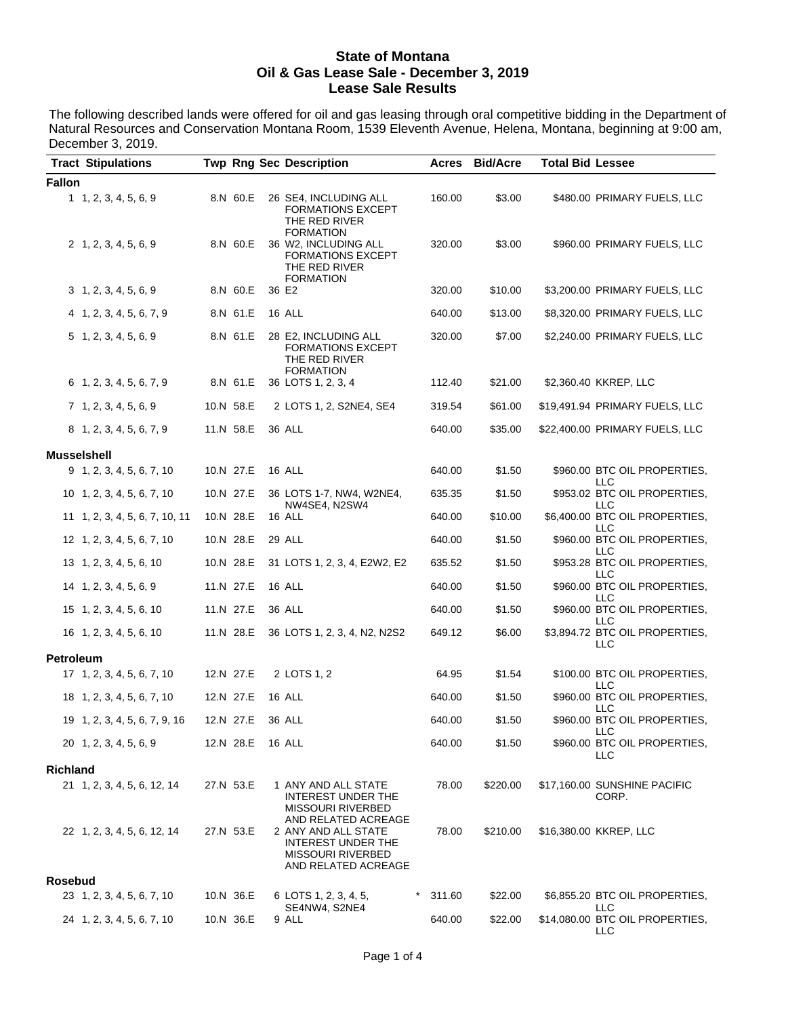#### **State of Montana Oil & Gas Lease Sale - December 3, 2019 Lease Sale Results**

The following described lands were offered for oil and gas leasing through oral competitive bidding in the Department of Natural Resources and Conservation Montana Room, 1539 Eleventh Avenue, Helena, Montana, beginning at 9:00 am, December 3, 2019.  $\overline{a}$ 

|                    | <b>Tract Stipulations</b>      |           | <b>Twp Rng Sec Description</b>                                                                                      | Acres  | <b>Bid/Acre</b> | <b>Total Bid Lessee</b> |                                                   |
|--------------------|--------------------------------|-----------|---------------------------------------------------------------------------------------------------------------------|--------|-----------------|-------------------------|---------------------------------------------------|
| <b>Fallon</b>      |                                |           |                                                                                                                     |        |                 |                         |                                                   |
|                    | 1, 2, 3, 4, 5, 6, 9            | 8.N 60.E  | 26 SE4, INCLUDING ALL<br>FORMATIONS EXCEPT<br>THE RED RIVER                                                         | 160.00 | \$3.00          |                         | \$480.00 PRIMARY FUELS, LLC                       |
|                    | 2, 1, 2, 3, 4, 5, 6, 9         | 8.N 60.E  | FORMATION<br>36 W2, INCLUDING ALL<br>FORMATIONS EXCEPT<br>THE RED RIVER<br><b>FORMATION</b>                         | 320.00 | \$3.00          |                         | \$960.00 PRIMARY FUELS, LLC                       |
|                    | 3, 1, 2, 3, 4, 5, 6, 9         | 8.N 60.E  | 36 E2                                                                                                               | 320.00 | \$10.00         |                         | \$3,200.00 PRIMARY FUELS, LLC                     |
|                    | 4 1, 2, 3, 4, 5, 6, 7, 9       | 8.N 61.E  | 16 ALL                                                                                                              | 640.00 | \$13.00         |                         | \$8,320.00 PRIMARY FUELS, LLC                     |
|                    | $5\quad 1, 2, 3, 4, 5, 6, 9$   | 8.N 61.E  | 28 E2, INCLUDING ALL<br>FORMATIONS EXCEPT<br>THE RED RIVER<br><b>FORMATION</b>                                      | 320.00 | \$7.00          |                         | \$2,240.00 PRIMARY FUELS, LLC                     |
|                    | $6$ 1, 2, 3, 4, 5, 6, 7, 9     | 8.N 61.E  | 36 LOTS 1, 2, 3, 4                                                                                                  | 112.40 | \$21.00         |                         | \$2,360.40 KKREP, LLC                             |
|                    | 7, 1, 2, 3, 4, 5, 6, 9         | 10.N 58.E | 2 LOTS 1, 2, S2NE4, SE4                                                                                             | 319.54 | \$61.00         |                         | \$19,491.94 PRIMARY FUELS, LLC                    |
|                    | 8 1, 2, 3, 4, 5, 6, 7, 9       | 11.N 58.E | 36 ALL                                                                                                              | 640.00 | \$35.00         |                         | \$22,400.00 PRIMARY FUELS, LLC                    |
| <b>Musselshell</b> |                                |           |                                                                                                                     |        |                 |                         |                                                   |
|                    | 9 1, 2, 3, 4, 5, 6, 7, 10      | 10.N 27.E | 16 ALL                                                                                                              | 640.00 | \$1.50          |                         | \$960.00 BTC OIL PROPERTIES.                      |
|                    | 10 1, 2, 3, 4, 5, 6, 7, 10     | 10.N 27.E | 36 LOTS 1-7, NW4, W2NE4,                                                                                            | 635.35 | \$1.50          |                         | LLC<br>\$953.02 BTC OIL PROPERTIES,<br><b>LLC</b> |
|                    | 11 1, 2, 3, 4, 5, 6, 7, 10, 11 | 10.N 28.E | NW4SE4, N2SW4<br>16 ALL                                                                                             | 640.00 | \$10.00         |                         | \$6,400.00 BTC OIL PROPERTIES,<br>LLC             |
|                    | 12 1, 2, 3, 4, 5, 6, 7, 10     | 10.N 28.E | 29 ALL                                                                                                              | 640.00 | \$1.50          |                         | \$960.00 BTC OIL PROPERTIES,<br><b>LLC</b>        |
|                    | 13 1, 2, 3, 4, 5, 6, 10        | 10.N 28.E | 31 LOTS 1, 2, 3, 4, E2W2, E2                                                                                        | 635.52 | \$1.50          |                         | \$953.28 BTC OIL PROPERTIES,<br>LLC               |
|                    | 14 1, 2, 3, 4, 5, 6, 9         | 11.N 27.E | 16 ALL                                                                                                              | 640.00 | \$1.50          |                         | \$960.00 BTC OIL PROPERTIES,<br><b>LLC</b>        |
|                    | 15 1, 2, 3, 4, 5, 6, 10        | 11.N 27.E | 36 ALL                                                                                                              | 640.00 | \$1.50          |                         | \$960.00 BTC OIL PROPERTIES,<br>LLC               |
|                    | 16 1, 2, 3, 4, 5, 6, 10        | 11.N 28.E | 36 LOTS 1, 2, 3, 4, N2, N2S2                                                                                        | 649.12 | \$6.00          |                         | \$3,894.72 BTC OIL PROPERTIES,<br>LLC             |
| <b>Petroleum</b>   |                                |           |                                                                                                                     |        |                 |                         |                                                   |
|                    | 17 1, 2, 3, 4, 5, 6, 7, 10     | 12.N 27.E | 2 LOTS 1, 2                                                                                                         | 64.95  | \$1.54          |                         | \$100.00 BTC OIL PROPERTIES,<br>LLC               |
|                    | 18 1, 2, 3, 4, 5, 6, 7, 10     | 12.N 27.E | 16 ALL                                                                                                              | 640.00 | \$1.50          |                         | \$960.00 BTC OIL PROPERTIES,<br>LLC               |
|                    | 19 1, 2, 3, 4, 5, 6, 7, 9, 16  | 12.N 27.E | 36 ALL                                                                                                              | 640.00 | \$1.50          |                         | \$960.00 BTC OIL PROPERTIES,<br>LLC               |
|                    | 20 1, 2, 3, 4, 5, 6, 9         | 12.N 28.E | 16 ALL                                                                                                              | 640.00 | \$1.50          |                         | \$960.00 BTC OIL PROPERTIES,<br>LLC               |
| <b>Richland</b>    |                                |           |                                                                                                                     |        |                 |                         |                                                   |
|                    | 21 1, 2, 3, 4, 5, 6, 12, 14    | 27.N 53.E | 1 ANY AND ALL STATE<br>INTEREST UNDER THE<br><b>MISSOURI RIVERBED</b>                                               | 78.00  | \$220.00        |                         | \$17,160.00 SUNSHINE PACIFIC<br>CORP.             |
|                    | 22 1, 2, 3, 4, 5, 6, 12, 14    | 27.N 53.E | AND RELATED ACREAGE<br>2 ANY AND ALL STATE<br>INTEREST UNDER THE<br><b>MISSOURI RIVERBED</b><br>AND RELATED ACREAGE | 78.00  | \$210.00        |                         | \$16,380.00 KKREP, LLC                            |
| <b>Rosebud</b>     |                                |           |                                                                                                                     |        |                 |                         |                                                   |
|                    | 23 1, 2, 3, 4, 5, 6, 7, 10     | 10.N 36.E | $^\star$<br>6 LOTS 1, 2, 3, 4, 5,<br>SE4NW4, S2NE4                                                                  | 311.60 | \$22.00         |                         | \$6,855.20 BTC OIL PROPERTIES,<br>LLC             |
|                    | 24 1, 2, 3, 4, 5, 6, 7, 10     | 10.N 36.E | 9 ALL                                                                                                               | 640.00 | \$22.00         |                         | \$14,080.00 BTC OIL PROPERTIES,<br>LLC            |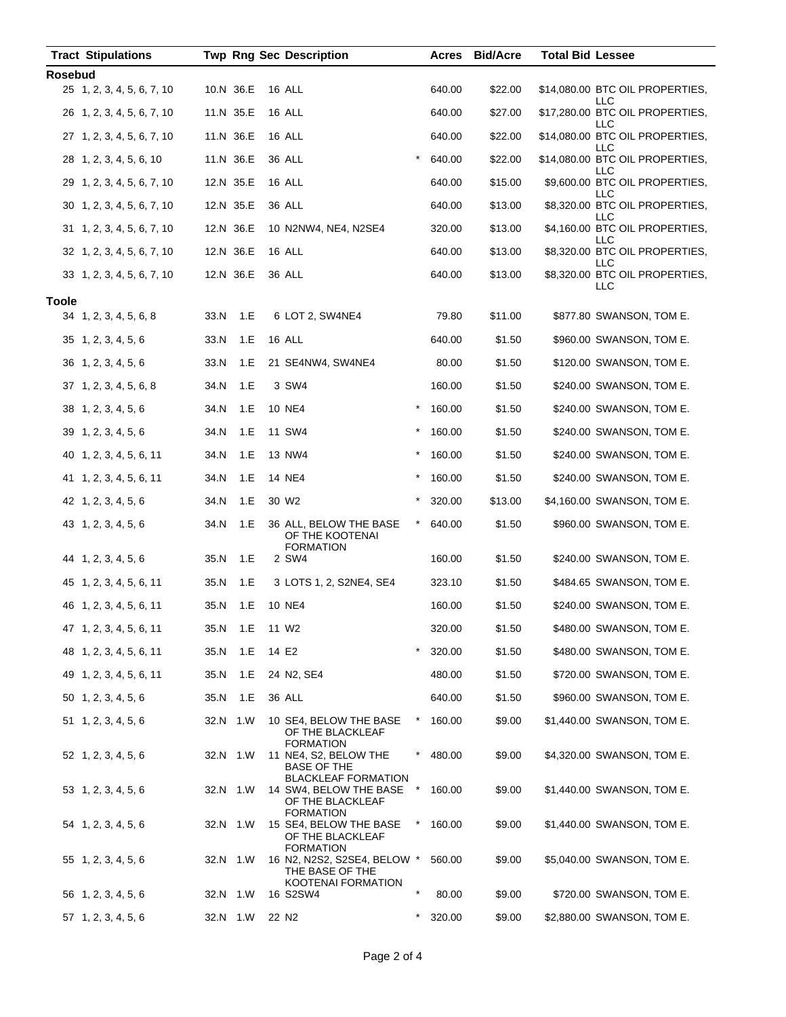| <b>Tract Stipulations</b>   |           |     | <b>Twp Rng Sec Description</b>                                       |          | Acres  | <b>Bid/Acre</b> | <b>Total Bid Lessee</b>                |
|-----------------------------|-----------|-----|----------------------------------------------------------------------|----------|--------|-----------------|----------------------------------------|
| <b>Rosebud</b>              |           |     |                                                                      |          |        |                 |                                        |
| 25 1, 2, 3, 4, 5, 6, 7, 10  | 10.N 36.E |     | 16 ALL                                                               |          | 640.00 | \$22.00         | \$14,080.00 BTC OIL PROPERTIES,<br>LLC |
| 26 1, 2, 3, 4, 5, 6, 7, 10  | 11.N 35.E |     | 16 ALL                                                               |          | 640.00 | \$27.00         | \$17,280.00 BTC OIL PROPERTIES,<br>LLC |
| 27 1, 2, 3, 4, 5, 6, 7, 10  | 11.N 36.E |     | 16 ALL                                                               |          | 640.00 | \$22.00         | \$14,080.00 BTC OIL PROPERTIES,<br>LLC |
| 28 1, 2, 3, 4, 5, 6, 10     | 11.N 36.E |     | <b>36 ALL</b>                                                        | $\star$  | 640.00 | \$22.00         | \$14,080.00 BTC OIL PROPERTIES,<br>LLC |
| 29 1, 2, 3, 4, 5, 6, 7, 10  | 12.N 35.E |     | 16 ALL                                                               |          | 640.00 | \$15.00         | \$9,600.00 BTC OIL PROPERTIES,<br>LLC  |
| 30 1, 2, 3, 4, 5, 6, 7, 10  | 12.N 35.E |     | <b>36 ALL</b>                                                        |          | 640.00 | \$13.00         | \$8,320.00 BTC OIL PROPERTIES,<br>LLC  |
| 31 1, 2, 3, 4, 5, 6, 7, 10  | 12.N 36.E |     | 10 N2NW4, NE4, N2SE4                                                 |          | 320.00 | \$13.00         | \$4,160.00 BTC OIL PROPERTIES,<br>LLC  |
| 32 1, 2, 3, 4, 5, 6, 7, 10  | 12.N 36.E |     | 16 ALL                                                               |          | 640.00 | \$13.00         | \$8,320.00 BTC OIL PROPERTIES,<br>LLC  |
| 33 1, 2, 3, 4, 5, 6, 7, 10  | 12.N 36.E |     | 36 ALL                                                               |          | 640.00 | \$13.00         | \$8,320.00 BTC OIL PROPERTIES,         |
| <b>Toole</b>                |           |     |                                                                      |          |        |                 | LLC                                    |
| 34 1, 2, 3, 4, 5, 6, 8      | 33.N      | 1.E | 6 LOT 2, SW4NE4                                                      |          | 79.80  | \$11.00         | \$877.80 SWANSON, TOM E.               |
| $35$ 1, 2, 3, 4, 5, 6       | 33.N      | 1.E | <b>16 ALL</b>                                                        |          | 640.00 | \$1.50          | \$960.00 SWANSON, TOM E.               |
| 36 1, 2, 3, 4, 5, 6         | 33.N      | 1.E | 21 SE4NW4, SW4NE4                                                    |          | 80.00  | \$1.50          | \$120.00 SWANSON, TOM E.               |
| 37 1, 2, 3, 4, 5, 6, 8      | 34.N      | 1.E | 3 SW4                                                                |          | 160.00 | \$1.50          | \$240.00 SWANSON, TOM E.               |
| 38 1, 2, 3, 4, 5, 6         | 34.N      | 1.E | 10 NE4                                                               | $^\star$ | 160.00 | \$1.50          | \$240.00 SWANSON, TOM E.               |
| 39 1, 2, 3, 4, 5, 6         | 34.N      | 1.E | 11 SW4                                                               | $^\star$ | 160.00 | \$1.50          | \$240.00 SWANSON, TOM E.               |
| 40 1, 2, 3, 4, 5, 6, 11     | 34.N      | 1.E | 13 NW4                                                               | $\star$  | 160.00 | \$1.50          | \$240.00 SWANSON, TOM E.               |
| 41 1, 2, 3, 4, 5, 6, 11     | 34.N      | 1.E | 14 NE4                                                               | $^\star$ | 160.00 | \$1.50          | \$240.00 SWANSON, TOM E.               |
| 42 1, 2, 3, 4, 5, 6         | 34.N      | 1.E | 30 W <sub>2</sub>                                                    | $^\star$ | 320.00 | \$13.00         | \$4,160.00 SWANSON, TOM E.             |
| 43 1, 2, 3, 4, 5, 6         | 34.N      | 1.E | 36 ALL, BELOW THE BASE<br>OF THE KOOTENAI<br><b>FORMATION</b>        | $\ast$   | 640.00 | \$1.50          | \$960.00 SWANSON, TOM E.               |
| 44 1, 2, 3, 4, 5, 6         | 35.N      | 1.E | 2 SW4                                                                |          | 160.00 | \$1.50          | \$240.00 SWANSON, TOM E.               |
| 45 1, 2, 3, 4, 5, 6, 11     | 35.N      | 1.E | 3 LOTS 1, 2, S2NE4, SE4                                              |          | 323.10 | \$1.50          | \$484.65 SWANSON, TOM E.               |
| 46 1, 2, 3, 4, 5, 6, 11     | 35.N      | 1.E | 10 NE4                                                               |          | 160.00 | \$1.50          | \$240.00 SWANSON, TOM E.               |
| 47 1, 2, 3, 4, 5, 6, 11     | 35.N      | 1.E | 11 W <sub>2</sub>                                                    |          | 320.00 | \$1.50          | \$480.00 SWANSON, TOM E.               |
| 48 1, 2, 3, 4, 5, 6, 11     | 35.N      | 1.E | 14 E2                                                                | $\ast$   | 320.00 | \$1.50          | \$480.00 SWANSON, TOM E.               |
| 49 1, 2, 3, 4, 5, 6, 11     | 35.N      | 1.E | 24 N2, SE4                                                           |          | 480.00 | \$1.50          | \$720.00 SWANSON, TOM E.               |
| 50 1, 2, 3, 4, 5, 6         | 35.N      | 1.E | 36 ALL                                                               |          | 640.00 | \$1.50          | \$960.00 SWANSON, TOM E.               |
| $51 \quad 1, 2, 3, 4, 5, 6$ | 32.N 1.W  |     | 10 SE4, BELOW THE BASE<br>OF THE BLACKLEAF<br><b>FORMATION</b>       |          | 160.00 | \$9.00          | \$1,440.00 SWANSON, TOM E.             |
| 52 1, 2, 3, 4, 5, 6         | 32.N 1.W  |     | 11 NE4, S2, BELOW THE<br>BASE OF THE<br><b>BLACKLEAF FORMATION</b>   |          | 480.00 | \$9.00          | \$4,320.00 SWANSON, TOM E.             |
| 53 1, 2, 3, 4, 5, 6         | 32.N 1.W  |     | 14 SW4, BELOW THE BASE<br>OF THE BLACKLEAF<br><b>FORMATION</b>       | $\ast$   | 160.00 | \$9.00          | \$1,440.00 SWANSON, TOM E.             |
| 54 1, 2, 3, 4, 5, 6         | 32.N 1.W  |     | 15 SE4, BELOW THE BASE<br>OF THE BLACKLEAF<br><b>FORMATION</b>       | ×        | 160.00 | \$9.00          | \$1,440.00 SWANSON, TOM E.             |
| 55 1, 2, 3, 4, 5, 6         | 32.N 1.W  |     | 16 N2, N2S2, S2SE4, BELOW *<br>THE BASE OF THE<br>KOOTENAI FORMATION |          | 560.00 | \$9.00          | \$5,040.00 SWANSON, TOM E.             |
| 56 1, 2, 3, 4, 5, 6         | 32.N 1.W  |     | 16 S2SW4                                                             | $\ast$   | 80.00  | \$9.00          | \$720.00 SWANSON, TOM E.               |
| 57 1, 2, 3, 4, 5, 6         | 32.N 1.W  |     | 22 N <sub>2</sub>                                                    |          | 320.00 | \$9.00          | \$2,880.00 SWANSON, TOM E.             |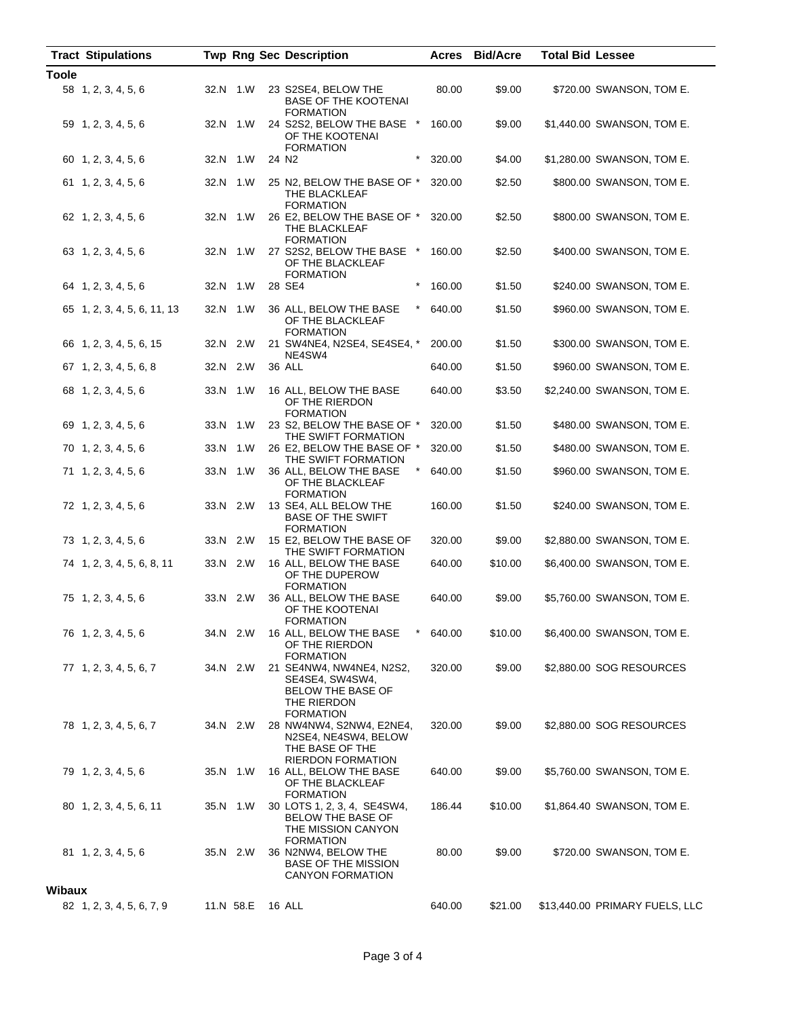|               | <b>Tract Stipulations</b>   |           | <b>Twp Rng Sec Description</b>                                                                             | Acres  | <b>Bid/Acre</b> | <b>Total Bid Lessee</b>        |
|---------------|-----------------------------|-----------|------------------------------------------------------------------------------------------------------------|--------|-----------------|--------------------------------|
| <b>Toole</b>  |                             |           |                                                                                                            |        |                 |                                |
|               | 58 1, 2, 3, 4, 5, 6         | 32.N 1.W  | 23 S2SE4, BELOW THE<br><b>BASE OF THE KOOTENAI</b><br><b>FORMATION</b>                                     | 80.00  | \$9.00          | \$720.00 SWANSON, TOM E.       |
|               | 59 1, 2, 3, 4, 5, 6         | 32.N 1.W  | 24 S2S2, BELOW THE BASE *<br>OF THE KOOTENAI<br><b>FORMATION</b>                                           | 160.00 | \$9.00          | \$1,440.00 SWANSON, TOM E.     |
|               | 60 1, 2, 3, 4, 5, 6         | 32.N 1.W  | $\star$<br>24 N <sub>2</sub>                                                                               | 320.00 | \$4.00          | \$1,280.00 SWANSON, TOM E.     |
|               | 61 1, 2, 3, 4, 5, 6         | 32.N 1.W  | 25 N2, BELOW THE BASE OF *<br>THE BLACKLEAF<br><b>FORMATION</b>                                            | 320.00 | \$2.50          | \$800.00 SWANSON, TOM E.       |
|               | 62 1, 2, 3, 4, 5, 6         | 32.N 1.W  | 26 E2, BELOW THE BASE OF *<br>THE BLACKLEAF<br><b>FORMATION</b>                                            | 320.00 | \$2.50          | \$800.00 SWANSON, TOM E.       |
|               | 63 1, 2, 3, 4, 5, 6         | 32.N 1.W  | 27 S2S2, BELOW THE BASE *<br>OF THE BLACKLEAF<br><b>FORMATION</b>                                          | 160.00 | \$2.50          | \$400.00 SWANSON, TOM E.       |
|               | 64 1, 2, 3, 4, 5, 6         | 32.N 1.W  | 28 SE4<br>$\ast$                                                                                           | 160.00 | \$1.50          | \$240.00 SWANSON, TOM E.       |
|               | 65 1, 2, 3, 4, 5, 6, 11, 13 | 32.N 1.W  | 36 ALL, BELOW THE BASE<br>*<br>OF THE BLACKLEAF<br><b>FORMATION</b>                                        | 640.00 | \$1.50          | \$960.00 SWANSON, TOM E.       |
|               | 66 1, 2, 3, 4, 5, 6, 15     | 32.N 2.W  | 21 SW4NE4, N2SE4, SE4SE4, *<br>NE4SW4                                                                      | 200.00 | \$1.50          | \$300.00 SWANSON, TOM E.       |
|               | 67 1, 2, 3, 4, 5, 6, 8      | 32.N 2.W  | 36 ALL                                                                                                     | 640.00 | \$1.50          | \$960.00 SWANSON, TOM E.       |
|               | 68 1, 2, 3, 4, 5, 6         | 33.N 1.W  | 16 ALL, BELOW THE BASE<br>OF THE RIERDON<br><b>FORMATION</b>                                               | 640.00 | \$3.50          | \$2,240.00 SWANSON, TOM E.     |
|               | 69 1, 2, 3, 4, 5, 6         | 33.N 1.W  | 23 S2, BELOW THE BASE OF *<br>THE SWIFT FORMATION                                                          | 320.00 | \$1.50          | \$480.00 SWANSON, TOM E.       |
|               | 70 1, 2, 3, 4, 5, 6         | 33.N 1.W  | 26 E2, BELOW THE BASE OF *                                                                                 | 320.00 | \$1.50          | \$480.00 SWANSON, TOM E.       |
|               | 71 1, 2, 3, 4, 5, 6         | 33.N 1.W  | THE SWIFT FORMATION<br>36 ALL, BELOW THE BASE<br>OF THE BLACKLEAF<br><b>FORMATION</b>                      | 640.00 | \$1.50          | \$960.00 SWANSON, TOM E.       |
|               | 72 1, 2, 3, 4, 5, 6         | 33.N 2.W  | 13 SE4, ALL BELOW THE<br><b>BASE OF THE SWIFT</b><br><b>FORMATION</b>                                      | 160.00 | \$1.50          | \$240.00 SWANSON, TOM E.       |
|               | 73 1, 2, 3, 4, 5, 6         | 33.N 2.W  | 15 E2, BELOW THE BASE OF<br>THE SWIFT FORMATION                                                            | 320.00 | \$9.00          | \$2,880.00 SWANSON, TOM E.     |
|               | 74 1, 2, 3, 4, 5, 6, 8, 11  | 33.N 2.W  | 16 ALL, BELOW THE BASE<br>OF THE DUPEROW<br><b>FORMATION</b>                                               | 640.00 | \$10.00         | \$6,400.00 SWANSON, TOM E.     |
|               | 75 1, 2, 3, 4, 5, 6         | 33.N 2.W  | 36 ALL, BELOW THE BASE<br>OF THE KOOTENAI<br><b>FORMATION</b>                                              | 640.00 | \$9.00          | \$5,760.00 SWANSON, TOM E.     |
|               | 76 1, 2, 3, 4, 5, 6         | 34.N 2.W  | 16 ALL, BELOW THE BASE<br>$^{\star}$<br>OF THE RIERDON<br><b>FORMATION</b>                                 | 640.00 | \$10.00         | \$6,400.00 SWANSON, TOM E.     |
|               | 77 1, 2, 3, 4, 5, 6, 7      | 34.N 2.W  | 21 SE4NW4, NW4NE4, N2S2,<br>SE4SE4, SW4SW4,<br><b>BELOW THE BASE OF</b><br>THE RIERDON<br><b>FORMATION</b> | 320.00 | \$9.00          | \$2,880.00 SOG RESOURCES       |
|               | 78 1, 2, 3, 4, 5, 6, 7      | 34.N 2.W  | 28 NW4NW4, S2NW4, E2NE4,<br>N2SE4, NE4SW4, BELOW<br>THE BASE OF THE<br><b>RIERDON FORMATION</b>            | 320.00 | \$9.00          | \$2,880.00 SOG RESOURCES       |
|               | 79 1, 2, 3, 4, 5, 6         | 35.N 1.W  | 16 ALL, BELOW THE BASE<br>OF THE BLACKLEAF<br><b>FORMATION</b>                                             | 640.00 | \$9.00          | \$5,760.00 SWANSON, TOM E.     |
|               | 80 1, 2, 3, 4, 5, 6, 11     | 35.N 1.W  | 30 LOTS 1, 2, 3, 4, SE4SW4,<br>BELOW THE BASE OF<br>THE MISSION CANYON<br><b>FORMATION</b>                 | 186.44 | \$10.00         | \$1,864.40 SWANSON, TOM E.     |
|               | 81 1, 2, 3, 4, 5, 6         | 35.N 2.W  | 36 N2NW4, BELOW THE<br><b>BASE OF THE MISSION</b><br><b>CANYON FORMATION</b>                               | 80.00  | \$9.00          | \$720.00 SWANSON, TOM E.       |
| <b>Wibaux</b> |                             |           |                                                                                                            |        |                 |                                |
|               | 82 1, 2, 3, 4, 5, 6, 7, 9   | 11.N 58.E | 16 ALL                                                                                                     | 640.00 | \$21.00         | \$13,440.00 PRIMARY FUELS, LLC |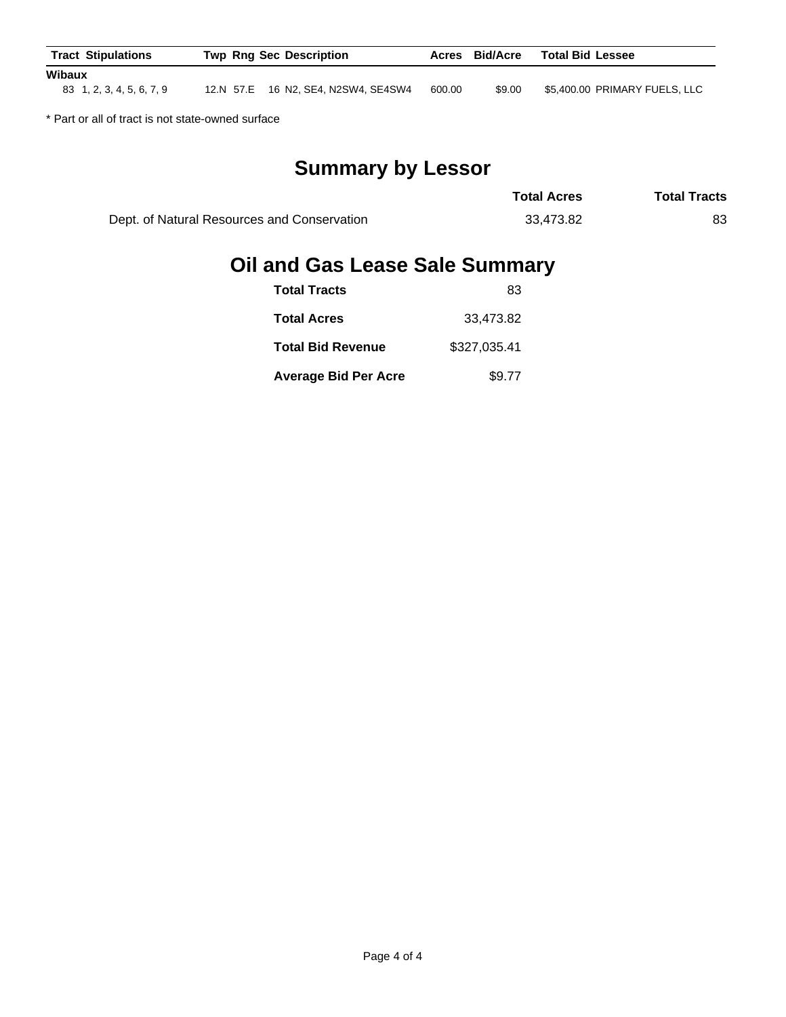| <b>Tract Stipulations</b>           | <b>Twp Rng Sec Description</b> |                                     |        | <b>Bid/Acre</b><br>Acres | <b>Total Bid Lessee</b>       |
|-------------------------------------|--------------------------------|-------------------------------------|--------|--------------------------|-------------------------------|
| Wibaux<br>83 1, 2, 3, 4, 5, 6, 7, 9 |                                | 12.N 57.E 16 N2, SE4, N2SW4, SE4SW4 | 600.00 | \$9.00                   | \$5,400.00 PRIMARY FUELS, LLC |

\* Part or all of tract is not state-owned surface

# **Summary by Lessor**

|                                             | <b>Total Acres</b> | <b>Total Tracts</b> |
|---------------------------------------------|--------------------|---------------------|
| Dept. of Natural Resources and Conservation | 33.473.82          | 83                  |

## **Oil and Gas Lease Sale Summary**

| <b>Total Tracts</b>         | 83           |
|-----------------------------|--------------|
| <b>Total Acres</b>          | 33.473.82    |
| <b>Total Bid Revenue</b>    | \$327,035.41 |
| <b>Average Bid Per Acre</b> | \$9.77       |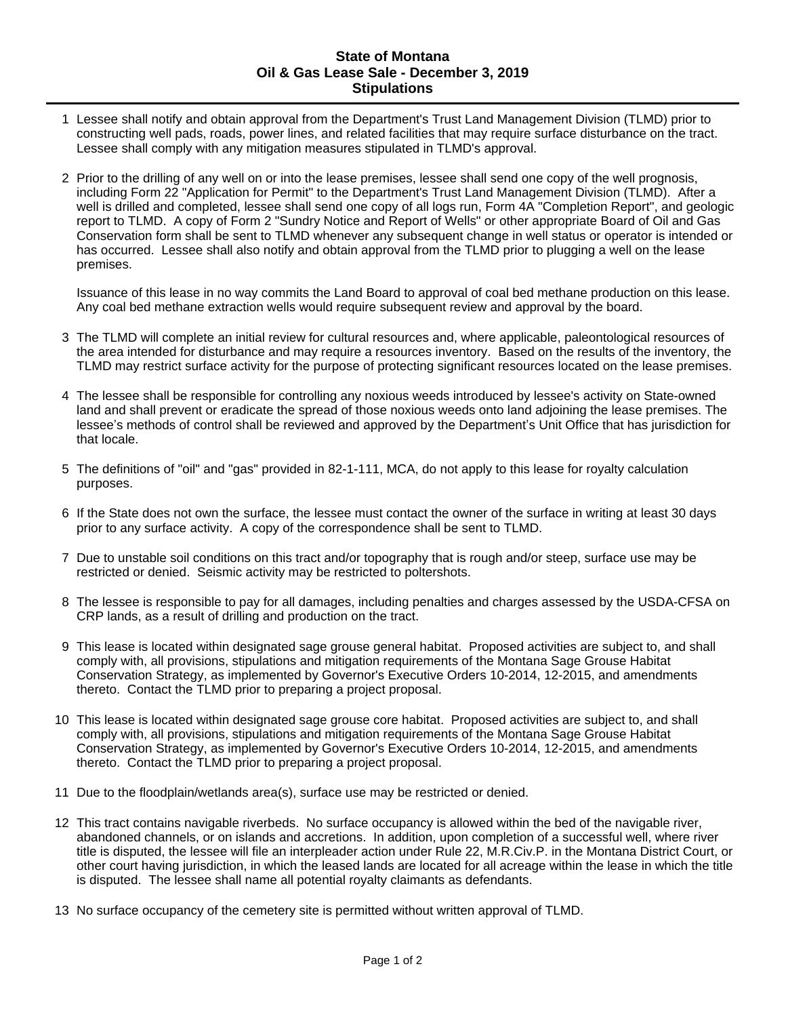#### **State of Montana Oil & Gas Lease Sale - December 3, 2019 Stipulations**

- 1 Lessee shall notify and obtain approval from the Department's Trust Land Management Division (TLMD) prior to constructing well pads, roads, power lines, and related facilities that may require surface disturbance on the tract. Lessee shall comply with any mitigation measures stipulated in TLMD's approval.
- 2 Prior to the drilling of any well on or into the lease premises, lessee shall send one copy of the well prognosis, including Form 22 "Application for Permit" to the Department's Trust Land Management Division (TLMD). After a well is drilled and completed, lessee shall send one copy of all logs run, Form 4A "Completion Report", and geologic report to TLMD. A copy of Form 2 "Sundry Notice and Report of Wells" or other appropriate Board of Oil and Gas Conservation form shall be sent to TLMD whenever any subsequent change in well status or operator is intended or has occurred. Lessee shall also notify and obtain approval from the TLMD prior to plugging a well on the lease premises.

Issuance of this lease in no way commits the Land Board to approval of coal bed methane production on this lease. Any coal bed methane extraction wells would require subsequent review and approval by the board.

- 3 The TLMD will complete an initial review for cultural resources and, where applicable, paleontological resources of the area intended for disturbance and may require a resources inventory. Based on the results of the inventory, the TLMD may restrict surface activity for the purpose of protecting significant resources located on the lease premises.
- 4 The lessee shall be responsible for controlling any noxious weeds introduced by lessee's activity on State-owned land and shall prevent or eradicate the spread of those noxious weeds onto land adjoining the lease premises. The lessee's methods of control shall be reviewed and approved by the Department's Unit Office that has jurisdiction for that locale.
- 5 The definitions of "oil" and "gas" provided in 82-1-111, MCA, do not apply to this lease for royalty calculation purposes.
- 6 If the State does not own the surface, the lessee must contact the owner of the surface in writing at least 30 days prior to any surface activity. A copy of the correspondence shall be sent to TLMD.
- 7 Due to unstable soil conditions on this tract and/or topography that is rough and/or steep, surface use may be restricted or denied. Seismic activity may be restricted to poltershots.
- 8 The lessee is responsible to pay for all damages, including penalties and charges assessed by the USDA-CFSA on CRP lands, as a result of drilling and production on the tract.
- 9 This lease is located within designated sage grouse general habitat. Proposed activities are subject to, and shall comply with, all provisions, stipulations and mitigation requirements of the Montana Sage Grouse Habitat Conservation Strategy, as implemented by Governor's Executive Orders 10-2014, 12-2015, and amendments thereto. Contact the TLMD prior to preparing a project proposal.
- 10 This lease is located within designated sage grouse core habitat. Proposed activities are subject to, and shall comply with, all provisions, stipulations and mitigation requirements of the Montana Sage Grouse Habitat Conservation Strategy, as implemented by Governor's Executive Orders 10-2014, 12-2015, and amendments thereto. Contact the TLMD prior to preparing a project proposal.
- 11 Due to the floodplain/wetlands area(s), surface use may be restricted or denied.
- 12 This tract contains navigable riverbeds. No surface occupancy is allowed within the bed of the navigable river, abandoned channels, or on islands and accretions. In addition, upon completion of a successful well, where river title is disputed, the lessee will file an interpleader action under Rule 22, M.R.Civ.P. in the Montana District Court, or other court having jurisdiction, in which the leased lands are located for all acreage within the lease in which the title is disputed. The lessee shall name all potential royalty claimants as defendants.
- 13 No surface occupancy of the cemetery site is permitted without written approval of TLMD.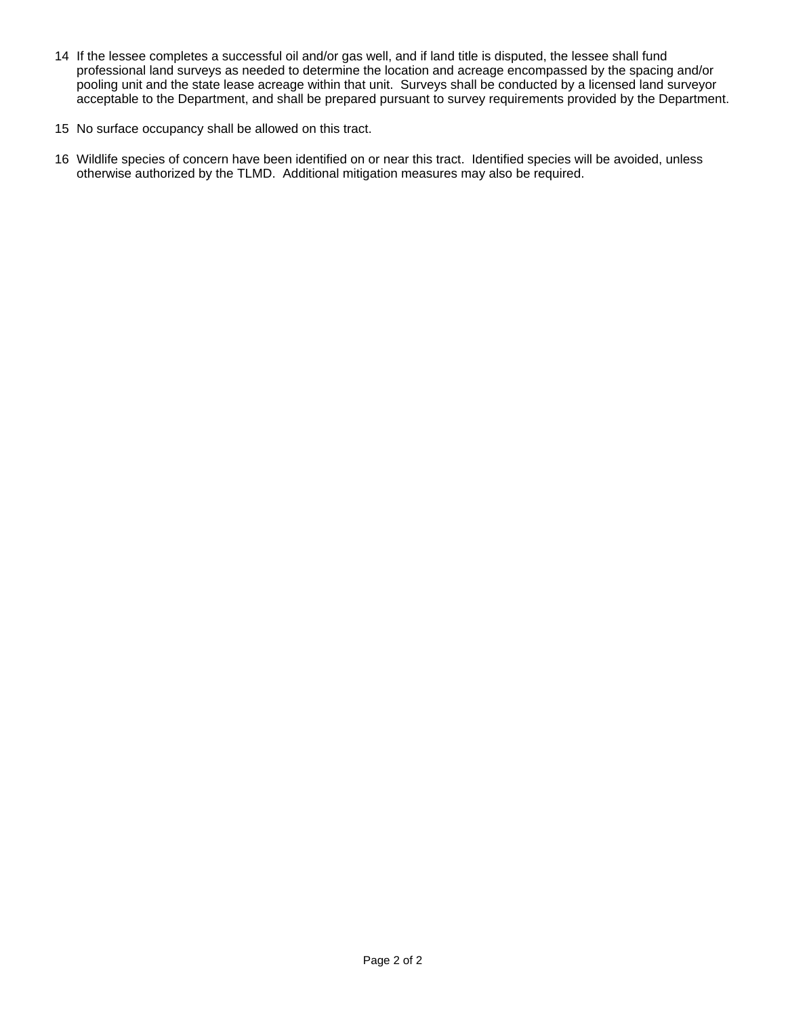- 14 If the lessee completes a successful oil and/or gas well, and if land title is disputed, the lessee shall fund professional land surveys as needed to determine the location and acreage encompassed by the spacing and/or pooling unit and the state lease acreage within that unit. Surveys shall be conducted by a licensed land surveyor acceptable to the Department, and shall be prepared pursuant to survey requirements provided by the Department.
- 15 No surface occupancy shall be allowed on this tract.
- 16 Wildlife species of concern have been identified on or near this tract. Identified species will be avoided, unless otherwise authorized by the TLMD. Additional mitigation measures may also be required.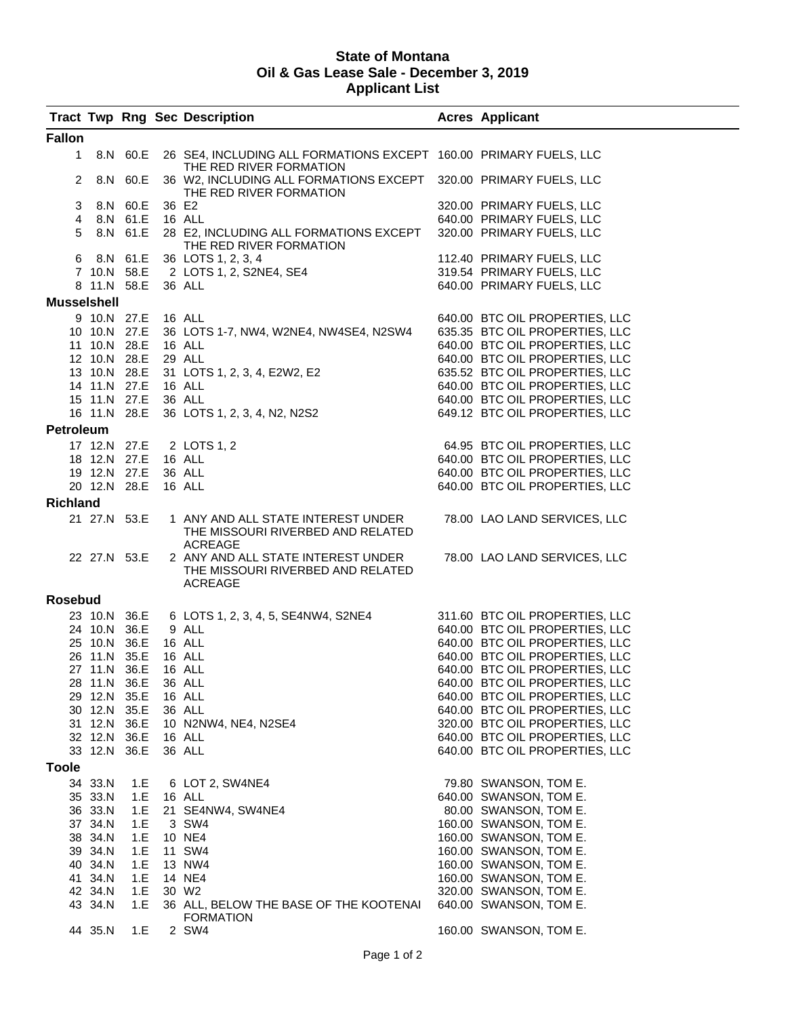#### **State of Montana Oil & Gas Lease Sale - December 3, 2019 Applicant List**

|                    |              |                     |        | <b>Tract Twp Rng Sec Description</b>                                                                                       | <b>Acres Applicant</b>         |
|--------------------|--------------|---------------------|--------|----------------------------------------------------------------------------------------------------------------------------|--------------------------------|
| <b>Fallon</b>      |              |                     |        |                                                                                                                            |                                |
| 1                  |              | 8.N 60.E            |        | 26 SE4, INCLUDING ALL FORMATIONS EXCEPT 160.00 PRIMARY FUELS, LLC<br>THE RED RIVER FORMATION                               |                                |
| 2                  |              | 8.N 60.E            |        | 36 W2, INCLUDING ALL FORMATIONS EXCEPT  320.00                               PRIMARY FUELS, LLC<br>THE RED RIVER FORMATION |                                |
| 3                  |              | 8.N 60.E            | 36 E2  |                                                                                                                            | 320.00 PRIMARY FUELS, LLC      |
| $\overline{4}$     |              | 8.N 61.E 16 ALL     |        |                                                                                                                            | 640.00 PRIMARY FUELS, LLC      |
| 5                  |              |                     |        | 8.N 61.E 28 E2, INCLUDING ALL FORMATIONS EXCEPT<br>THE RED RIVER FORMATION                                                 | 320.00 PRIMARY FUELS, LLC      |
|                    |              |                     |        | 6 8.N 61.E 36 LOTS 1, 2, 3, 4                                                                                              | 112.40 PRIMARY FUELS, LLC      |
|                    |              |                     |        | 7 10.N 58.E 2 LOTS 1, 2, S2NE4, SE4                                                                                        | 319.54 PRIMARY FUELS, LLC      |
|                    | 8 11.N 58.E  |                     |        | 36 ALL                                                                                                                     | 640.00 PRIMARY FUELS, LLC      |
| <b>Musselshell</b> |              |                     |        |                                                                                                                            |                                |
|                    | 9 10.N 27.E  |                     | 16 ALL |                                                                                                                            | 640.00 BTC OIL PROPERTIES, LLC |
|                    | 10 10.N 27.E |                     |        | 36 LOTS 1-7, NW4, W2NE4, NW4SE4, N2SW4                                                                                     | 635.35 BTC OIL PROPERTIES, LLC |
|                    |              | 11 10.N 28.E 16 ALL |        |                                                                                                                            | 640.00 BTC OIL PROPERTIES, LLC |
|                    |              | 12 10.N 28.E        | 29 ALL |                                                                                                                            | 640.00 BTC OIL PROPERTIES, LLC |
|                    |              |                     |        | 13 10.N 28.E 31 LOTS 1, 2, 3, 4, E2W2, E2                                                                                  | 635.52 BTC OIL PROPERTIES, LLC |
|                    |              | 14 11.N 27.E        | 16 ALL |                                                                                                                            | 640.00 BTC OIL PROPERTIES, LLC |
|                    |              | 15 11.N 27.E 36 ALL |        |                                                                                                                            | 640.00 BTC OIL PROPERTIES, LLC |
|                    |              |                     |        | 16 11.N 28.E 36 LOTS 1, 2, 3, 4, N2, N2S2                                                                                  | 649.12 BTC OIL PROPERTIES, LLC |
|                    |              |                     |        |                                                                                                                            |                                |
| Petroleum          |              |                     |        |                                                                                                                            |                                |
|                    |              |                     |        | 17 12.N 27.E 2 LOTS 1, 2                                                                                                   | 64.95 BTC OIL PROPERTIES, LLC  |
|                    |              | 18 12.N 27.E 16 ALL |        |                                                                                                                            | 640.00 BTC OIL PROPERTIES, LLC |
|                    |              | 19 12.N 27.E 36 ALL |        |                                                                                                                            | 640.00 BTC OIL PROPERTIES, LLC |
|                    |              | 20 12.N 28.E 16 ALL |        |                                                                                                                            | 640.00 BTC OIL PROPERTIES, LLC |
| <b>Richland</b>    |              |                     |        |                                                                                                                            |                                |
|                    |              | 21 27.N 53.E        |        | 1 ANY AND ALL STATE INTEREST UNDER                                                                                         | 78.00 LAO LAND SERVICES, LLC   |
|                    |              |                     |        | THE MISSOURI RIVERBED AND RELATED<br><b>ACREAGE</b>                                                                        |                                |
|                    | 22 27.N 53.E |                     |        | 2 ANY AND ALL STATE INTEREST UNDER<br>THE MISSOURI RIVERBED AND RELATED<br>ACREAGE                                         | 78.00 LAO LAND SERVICES, LLC   |
| Rosebud            |              |                     |        |                                                                                                                            |                                |
|                    |              |                     |        |                                                                                                                            |                                |
|                    |              |                     |        | 23 10.N 36.E 6 LOTS 1, 2, 3, 4, 5, SE4NW4, S2NE4                                                                           | 311.60 BTC OIL PROPERTIES, LLC |
|                    |              | 24 10.N 36.E        | 9 ALL  |                                                                                                                            | 640.00 BTC OIL PROPERTIES, LLC |
|                    |              | 25 10.N 36.E 16 ALL |        |                                                                                                                            | 640.00 BTC OIL PROPERTIES, LLC |
|                    | 26 11.N 35.E |                     | 16 ALL |                                                                                                                            | 640.00 BTC OIL PROPERTIES, LLC |
|                    | 27 11.N 36.E |                     | 16 ALL |                                                                                                                            | 640.00 BTC OIL PROPERTIES, LLC |
|                    |              | 28 11.N 36.E 36 ALL |        |                                                                                                                            | 640.00 BTC OIL PROPERTIES, LLC |
|                    | 29 12.N 35.E |                     | 16 ALL |                                                                                                                            | 640.00 BTC OIL PROPERTIES, LLC |
|                    | 30 12.N 35.E |                     | 36 ALL |                                                                                                                            | 640.00 BTC OIL PROPERTIES, LLC |
|                    |              |                     |        | 31 12.N 36.E 10 N2NW4, NE4, N2SE4                                                                                          | 320.00 BTC OIL PROPERTIES, LLC |
|                    |              | 32 12.N 36.E 16 ALL |        |                                                                                                                            | 640.00 BTC OIL PROPERTIES, LLC |
|                    | 33 12.N 36.E |                     |        | 36 ALL                                                                                                                     | 640.00 BTC OIL PROPERTIES, LLC |
| Toole              |              |                     |        |                                                                                                                            |                                |
|                    | 34 33.N      | 1.E                 |        | 6 LOT 2, SW4NE4                                                                                                            | 79.80 SWANSON, TOM E.          |
|                    | 35 33.N      | 1.E                 |        | 16 ALL                                                                                                                     | 640.00 SWANSON, TOM E.         |
|                    | 36 33.N      | 1.E                 |        | 21 SE4NW4, SW4NE4                                                                                                          | 80.00 SWANSON, TOM E.          |
|                    | 37 34.N      | 1.E                 |        | 3 SW4                                                                                                                      | 160.00 SWANSON, TOM E.         |
|                    | 38 34.N      | 1.E                 |        | 10 NE4                                                                                                                     | 160.00 SWANSON, TOM E.         |
|                    | 39 34.N      | 1.E                 |        | 11 SW4                                                                                                                     | 160.00 SWANSON, TOM E.         |
|                    | 40 34.N      | 1.E                 |        | 13 NW4                                                                                                                     | 160.00 SWANSON, TOM E.         |
|                    | 41 34.N      | 1.E                 |        | 14 NE4                                                                                                                     | 160.00 SWANSON, TOM E.         |
|                    | 42 34.N      | 1.E                 |        | 30 W <sub>2</sub>                                                                                                          | 320.00 SWANSON, TOM E.         |
|                    | 43 34.N      | 1.E                 |        | 36 ALL, BELOW THE BASE OF THE KOOTENAI                                                                                     | 640.00 SWANSON, TOM E.         |
|                    |              |                     |        | <b>FORMATION</b>                                                                                                           |                                |
|                    | 44 35.N      | 1.E                 |        | 2 SW4                                                                                                                      | 160.00 SWANSON, TOM E.         |
|                    |              |                     |        |                                                                                                                            |                                |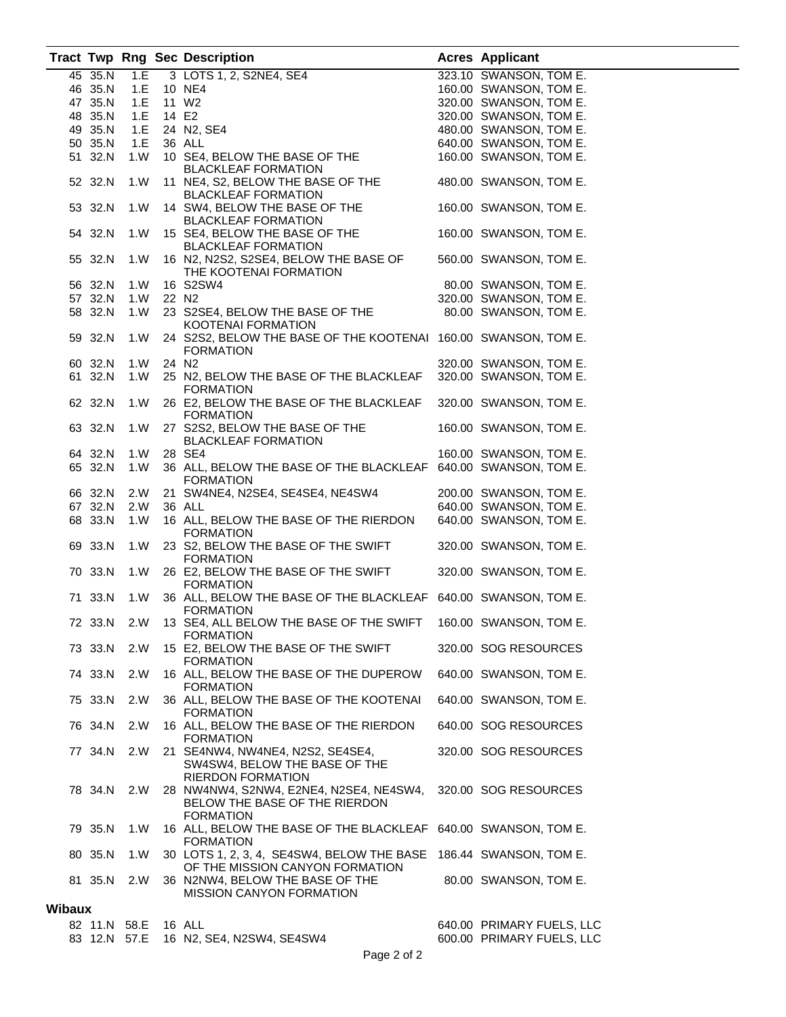|               |         |              |           | <b>Tract Twp Rng Sec Description</b>                              | <b>Acres Applicant</b>    |
|---------------|---------|--------------|-----------|-------------------------------------------------------------------|---------------------------|
|               | 45 35.N | 1.E          |           | 3 LOTS 1, 2, S2NE4, SE4                                           | 323.10 SWANSON, TOM E.    |
|               | 46 35.N |              |           | 1.E 10 NE4                                                        | 160.00 SWANSON, TOM E.    |
|               | 47 35.N |              |           | 11 W2                                                             | 320.00 SWANSON, TOM E.    |
|               |         | 1.E          |           |                                                                   |                           |
|               | 48 35.N |              | 1.E 14 E2 |                                                                   | 320.00 SWANSON, TOM E.    |
|               | 49 35.N |              |           | 1.E 24 N2, SE4                                                    | 480.00 SWANSON, TOM E.    |
|               | 50 35.N | 1.E          |           | 36 ALL                                                            | 640.00 SWANSON, TOM E.    |
|               | 51 32.N |              |           | 1.W 10 SE4, BELOW THE BASE OF THE                                 | 160.00 SWANSON, TOM E.    |
|               |         |              |           | <b>BLACKLEAF FORMATION</b>                                        |                           |
|               | 52 32.N | 1.W          |           | 11 NE4, S2, BELOW THE BASE OF THE                                 | 480.00 SWANSON, TOM E.    |
|               |         |              |           |                                                                   |                           |
|               |         |              |           | <b>BLACKLEAF FORMATION</b>                                        |                           |
|               | 53 32.N | 1.W          |           | 14 SW4, BELOW THE BASE OF THE                                     | 160.00 SWANSON, TOM E.    |
|               |         |              |           | <b>BLACKLEAF FORMATION</b>                                        |                           |
|               | 54 32.N | 1.W          |           | 15 SE4, BELOW THE BASE OF THE                                     | 160.00 SWANSON, TOM E.    |
|               |         |              |           | <b>BLACKLEAF FORMATION</b>                                        |                           |
|               | 55 32.N | 1.W          |           | 16 N2, N2S2, S2SE4, BELOW THE BASE OF                             | 560.00 SWANSON, TOM E.    |
|               |         |              |           | THE KOOTENAI FORMATION                                            |                           |
|               | 56 32.N | 1.W          |           | 16 S2SW4                                                          | 80.00 SWANSON, TOM E.     |
|               | 57 32.N | 1.W          |           | 22 N <sub>2</sub>                                                 | 320.00 SWANSON, TOM E.    |
|               |         |              |           |                                                                   |                           |
|               | 58 32.N | 1.W          |           | 23 S2SE4, BELOW THE BASE OF THE 80.00 SWANSON, TOM E.             |                           |
|               |         |              |           | KOOTENAI FORMATION                                                |                           |
|               | 59 32.N | 1.W          |           | 24 S2S2, BELOW THE BASE OF THE KOOTENAI 160.00 SWANSON, TOM E.    |                           |
|               |         |              |           | <b>FORMATION</b>                                                  |                           |
|               | 60 32.N | 1. W         |           | 24 N <sub>2</sub>                                                 | 320.00 SWANSON, TOM E.    |
|               | 61 32.N | 1.W          |           | 25 N2, BELOW THE BASE OF THE BLACKLEAF                            | 320.00 SWANSON, TOM E.    |
|               |         |              |           | <b>FORMATION</b>                                                  |                           |
|               |         |              |           |                                                                   |                           |
|               | 62 32.N | 1.W          |           | 26 E2, BELOW THE BASE OF THE BLACKLEAF                            | 320.00 SWANSON, TOM E.    |
|               |         |              |           | <b>FORMATION</b>                                                  |                           |
|               | 63 32.N | 1.W          |           | 27 S2S2, BELOW THE BASE OF THE                                    | 160.00 SWANSON, TOM E.    |
|               |         |              |           | <b>BLACKLEAF FORMATION</b>                                        |                           |
|               | 64 32.N | 1.W          |           | 28 SE4                                                            | 160.00 SWANSON, TOM E.    |
|               | 65 32.N | 1. W         |           | 36 ALL, BELOW THE BASE OF THE BLACKLEAF 640.00 SWANSON, TOM E.    |                           |
|               |         |              |           | <b>FORMATION</b>                                                  |                           |
|               | 66 32.N | 2.W          |           | 21 SW4NE4, N2SE4, SE4SE4, NE4SW4                                  | 200.00 SWANSON, TOM E.    |
|               |         |              |           |                                                                   |                           |
|               | 67 32.N | 2.W          |           | 36 ALL                                                            | 640.00 SWANSON, TOM E.    |
|               | 68 33.N | 1.W          |           | 16 ALL, BELOW THE BASE OF THE RIERDON                             | 640.00 SWANSON, TOM E.    |
|               |         |              |           | <b>FORMATION</b>                                                  |                           |
|               | 69 33.N | 1.W          |           | 23 S2, BELOW THE BASE OF THE SWIFT                                | 320.00 SWANSON, TOM E.    |
|               |         |              |           | <b>FORMATION</b>                                                  |                           |
|               | 70 33.N | 1.W          |           | 26 E2, BELOW THE BASE OF THE SWIFT                                | 320.00 SWANSON, TOM E.    |
|               |         |              |           | <b>FORMATION</b>                                                  |                           |
|               | 71 33.N | 1.W          |           | 36 ALL, BELOW THE BASE OF THE BLACKLEAF 640.00 SWANSON, TOM E.    |                           |
|               |         |              |           | <b>FORMATION</b>                                                  |                           |
|               | 72 33.N | 2.W          |           | 13 SE4, ALL BELOW THE BASE OF THE SWIFT 160.00 SWANSON, TOM E.    |                           |
|               |         |              |           |                                                                   |                           |
|               |         |              |           | <b>FORMATION</b>                                                  |                           |
|               | 73 33.N | 2.W          |           | 15 E2, BELOW THE BASE OF THE SWIFT                                | 320.00 SOG RESOURCES      |
|               |         |              |           | <b>FORMATION</b>                                                  |                           |
|               | 74 33.N | 2.W          |           | 16 ALL, BELOW THE BASE OF THE DUPEROW                             | 640.00 SWANSON, TOM E.    |
|               |         |              |           | <b>FORMATION</b>                                                  |                           |
|               | 75 33.N | 2.W          |           | 36 ALL, BELOW THE BASE OF THE KOOTENAI                            | 640.00 SWANSON, TOM E.    |
|               |         |              |           | <b>FORMATION</b>                                                  |                           |
|               | 76 34.N | 2.W          |           | 16 ALL, BELOW THE BASE OF THE RIERDON                             | 640.00 SOG RESOURCES      |
|               |         |              |           |                                                                   |                           |
|               |         |              |           | <b>FORMATION</b>                                                  |                           |
|               | 77 34.N | 2.W          |           | 21 SE4NW4, NW4NE4, N2S2, SE4SE4,                                  | 320.00 SOG RESOURCES      |
|               |         |              |           | SW4SW4, BELOW THE BASE OF THE                                     |                           |
|               |         |              |           | <b>RIERDON FORMATION</b>                                          |                           |
|               | 78 34.N | 2.W          |           | 28 NW4NW4, S2NW4, E2NE4, N2SE4, NE4SW4, 320.00 SOG RESOURCES      |                           |
|               |         |              |           | BELOW THE BASE OF THE RIERDON                                     |                           |
|               |         |              |           | <b>FORMATION</b>                                                  |                           |
|               | 79 35.N | 1.W          |           | 16 ALL, BELOW THE BASE OF THE BLACKLEAF 640.00 SWANSON, TOM E.    |                           |
|               |         |              |           |                                                                   |                           |
|               |         |              |           | <b>FORMATION</b>                                                  |                           |
|               | 80 35.N | 1.W          |           | 30 LOTS 1, 2, 3, 4, SE4SW4, BELOW THE BASE 186.44 SWANSON, TOM E. |                           |
|               |         |              |           | OF THE MISSION CANYON FORMATION                                   |                           |
|               | 81 35.N | 2.W          |           | 36 N2NW4, BELOW THE BASE OF THE                                   | 80.00 SWANSON, TOM E.     |
|               |         |              |           | <b>MISSION CANYON FORMATION</b>                                   |                           |
| <b>Wibaux</b> |         |              |           |                                                                   |                           |
|               |         |              |           |                                                                   |                           |
|               |         | 82 11.N 58.E |           | 16 ALL                                                            | 640.00 PRIMARY FUELS, LLC |
|               |         | 83 12.N 57.E |           | 16 N2, SE4, N2SW4, SE4SW4                                         | 600.00 PRIMARY FUELS, LLC |